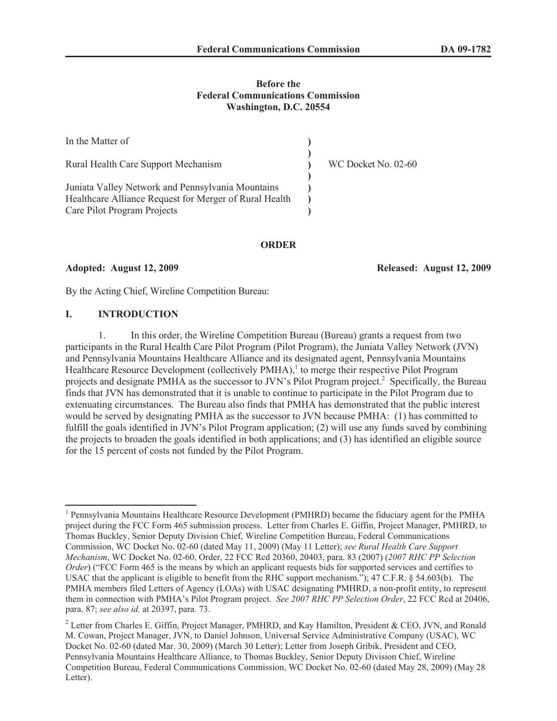### **Before the Federal Communications Commission Washington, D.C. 20554**

| In the Matter of                                                                                                                           |                     |
|--------------------------------------------------------------------------------------------------------------------------------------------|---------------------|
| Rural Health Care Support Mechanism                                                                                                        | WC Docket No. 02-60 |
| Juniata Valley Network and Pennsylvania Mountains<br>Healthcare Alliance Request for Merger of Rural Health<br>Care Pilot Program Projects |                     |
|                                                                                                                                            |                     |

#### **ORDER**

**Adopted: August 12, 2009 Released: August 12, 2009**

By the Acting Chief, Wireline Competition Bureau:

#### **I. INTRODUCTION**

1. In this order, the Wireline Competition Bureau (Bureau) grants a request from two participants in the Rural Health Care Pilot Program (Pilot Program), the Juniata Valley Network (JVN) and Pennsylvania Mountains Healthcare Alliance and its designated agent, Pennsylvania Mountains Healthcare Resource Development (collectively PMHA),<sup>1</sup> to merge their respective Pilot Program projects and designate PMHA as the successor to JVN's Pilot Program project.<sup>2</sup> Specifically, the Bureau finds that JVN has demonstrated that it is unable to continue to participate in the Pilot Program due to extenuating circumstances. The Bureau also finds that PMHA has demonstrated that the public interest would be served by designating PMHA as the successor to JVN because PMHA: (1) has committed to fulfill the goals identified in JVN's Pilot Program application; (2) will use any funds saved by combining the projects to broaden the goals identified in both applications; and (3) has identified an eligible source for the 15 percent of costs not funded by the Pilot Program.

<sup>&</sup>lt;sup>1</sup> Pennsylvania Mountains Healthcare Resource Development (PMHRD) became the fiduciary agent for the PMHA project during the FCC Form 465 submission process. Letter from Charles E. Giffin, Project Manager, PMHRD, to Thomas Buckley, Senior Deputy Division Chief, Wireline Competition Bureau, Federal Communications Commission, WC Docket No. 02-60 (dated May 11, 2009) (May 11 Letter); *see Rural Health Care Support Mechanism*, WC Docket No. 02-60, Order, 22 FCC Rcd 20360, 20403, para. 83 (2007) (*2007 RHC PP Selection Order*) ("FCC Form 465 is the means by which an applicant requests bids for supported services and certifies to USAC that the applicant is eligible to benefit from the RHC support mechanism."); 47 C.F.R. § 54.603(b). The PMHA members filed Letters of Agency (LOAs) with USAC designating PMHRD, a non-profit entity, to represent them in connection with PMHA's Pilot Program project. *See 2007 RHC PP Selection Order*, 22 FCC Rcd at 20406, para. 87; *see also id.* at 20397, para. 73.

<sup>&</sup>lt;sup>2</sup> Letter from Charles E. Giffin, Project Manager, PMHRD, and Kay Hamilton, President & CEO, JVN, and Ronald M. Cowan, Project Manager, JVN, to Daniel Johnson, Universal Service Administrative Company (USAC), WC Docket No. 02-60 (dated Mar. 30, 2009) (March 30 Letter); Letter from Joseph Gribik, President and CEO, Pennsylvania Mountains Healthcare Alliance, to Thomas Buckley, Senior Deputy Division Chief, Wireline Competition Bureau, Federal Communications Commission, WC Docket No. 02-60 (dated May 28, 2009) (May 28 Letter).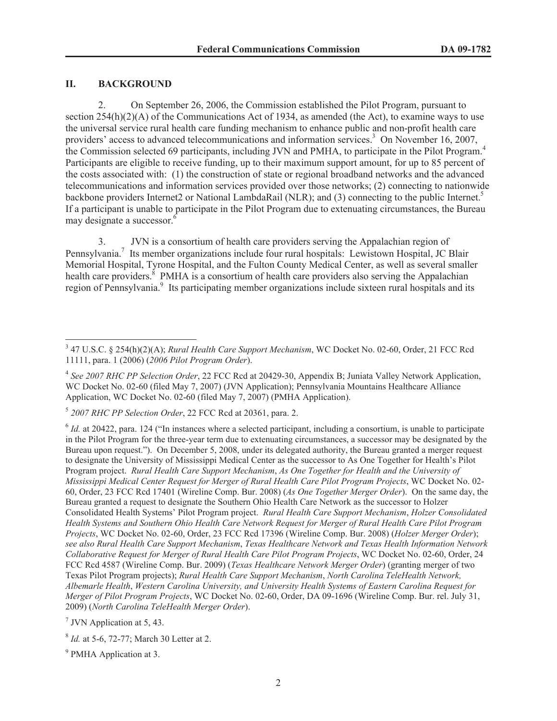### **II. BACKGROUND**

2. On September 26, 2006, the Commission established the Pilot Program, pursuant to section 254(h)(2)(A) of the Communications Act of 1934, as amended (the Act), to examine ways to use the universal service rural health care funding mechanism to enhance public and non-profit health care providers' access to advanced telecommunications and information services.<sup>3</sup> On November 16, 2007, the Commission selected 69 participants, including JVN and PMHA, to participate in the Pilot Program.<sup>4</sup> Participants are eligible to receive funding, up to their maximum support amount, for up to 85 percent of the costs associated with: (1) the construction of state or regional broadband networks and the advanced telecommunications and information services provided over those networks; (2) connecting to nationwide backbone providers Internet2 or National LambdaRail (NLR); and (3) connecting to the public Internet.<sup>5</sup> If a participant is unable to participate in the Pilot Program due to extenuating circumstances, the Bureau may designate a successor.<sup>6</sup>

3. JVN is a consortium of health care providers serving the Appalachian region of Pennsylvania.<sup>7</sup> Its member organizations include four rural hospitals: Lewistown Hospital, JC Blair Memorial Hospital, Tyrone Hospital, and the Fulton County Medical Center, as well as several smaller health care providers.<sup>8</sup> PMHA is a consortium of health care providers also serving the Appalachian region of Pennsylvania.<sup>9</sup> Its participating member organizations include sixteen rural hospitals and its

<sup>3</sup> 47 U.S.C. § 254(h)(2)(A); *Rural Health Care Support Mechanism*, WC Docket No. 02-60, Order, 21 FCC Rcd 11111, para. 1 (2006) (*2006 Pilot Program Order*).

<sup>4</sup> *See 2007 RHC PP Selection Order*, 22 FCC Rcd at 20429-30, Appendix B; Juniata Valley Network Application, WC Docket No. 02-60 (filed May 7, 2007) (JVN Application); Pennsylvania Mountains Healthcare Alliance Application, WC Docket No. 02-60 (filed May 7, 2007) (PMHA Application).

<sup>5</sup> *2007 RHC PP Selection Order*, 22 FCC Rcd at 20361, para. 2.

 $<sup>6</sup>$  *Id.* at 20422, para. 124 ("In instances where a selected participant, including a consortium, is unable to participate</sup> in the Pilot Program for the three-year term due to extenuating circumstances, a successor may be designated by the Bureau upon request."). On December 5, 2008, under its delegated authority, the Bureau granted a merger request to designate the University of Mississippi Medical Center as the successor to As One Together for Health's Pilot Program project. *Rural Health Care Support Mechanism*, *As One Together for Health and the University of Mississippi Medical Center Request for Merger of Rural Health Care Pilot Program Projects*, WC Docket No. 02- 60, Order, 23 FCC Rcd 17401 (Wireline Comp. Bur. 2008) (*As One Together Merger Order*). On the same day, the Bureau granted a request to designate the Southern Ohio Health Care Network as the successor to Holzer Consolidated Health Systems' Pilot Program project. *Rural Health Care Support Mechanism*, *Holzer Consolidated Health Systems and Southern Ohio Health Care Network Request for Merger of Rural Health Care Pilot Program Projects*, WC Docket No. 02-60, Order, 23 FCC Rcd 17396 (Wireline Comp. Bur. 2008) (*Holzer Merger Order*); *see also Rural Health Care Support Mechanism*, *Texas Healthcare Network and Texas Health Information Network Collaborative Request for Merger of Rural Health Care Pilot Program Projects*, WC Docket No. 02-60, Order, 24 FCC Rcd 4587 (Wireline Comp. Bur. 2009) (*Texas Healthcare Network Merger Order*) (granting merger of two Texas Pilot Program projects); *Rural Health Care Support Mechanism*, *North Carolina TeleHealth Network, Albemarle Health*, *Western Carolina University, and University Health Systems of Eastern Carolina Request for Merger of Pilot Program Projects*, WC Docket No. 02-60, Order, DA 09-1696 (Wireline Comp. Bur. rel. July 31, 2009) (*North Carolina TeleHealth Merger Order*).

<sup>&</sup>lt;sup>7</sup> JVN Application at 5, 43.

<sup>8</sup> *Id.* at 5-6, 72-77; March 30 Letter at 2.

<sup>&</sup>lt;sup>9</sup> PMHA Application at 3.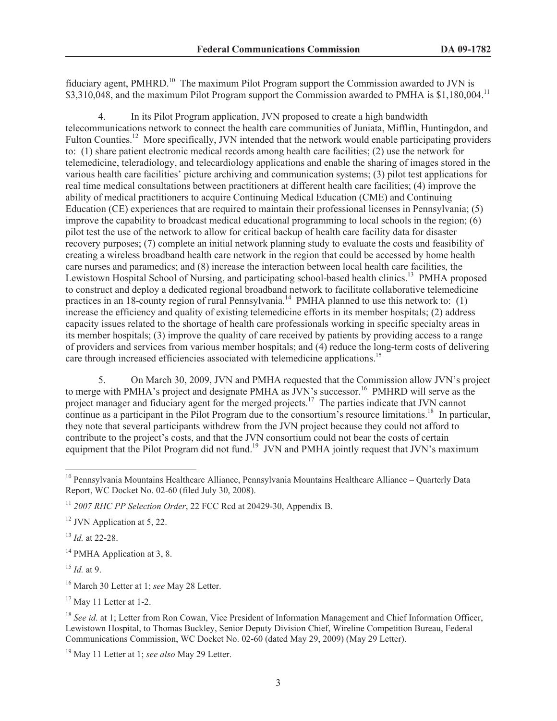fiduciary agent, PMHRD.<sup>10</sup> The maximum Pilot Program support the Commission awarded to JVN is \$3,310,048, and the maximum Pilot Program support the Commission awarded to PMHA is \$1,180,004.<sup>11</sup>

4. In its Pilot Program application, JVN proposed to create a high bandwidth telecommunications network to connect the health care communities of Juniata, Mifflin, Huntingdon, and Fulton Counties.<sup>12</sup> More specifically, JVN intended that the network would enable participating providers to: (1) share patient electronic medical records among health care facilities; (2) use the network for telemedicine, teleradiology, and telecardiology applications and enable the sharing of images stored in the various health care facilities' picture archiving and communication systems; (3) pilot test applications for real time medical consultations between practitioners at different health care facilities; (4) improve the ability of medical practitioners to acquire Continuing Medical Education (CME) and Continuing Education (CE) experiences that are required to maintain their professional licenses in Pennsylvania; (5) improve the capability to broadcast medical educational programming to local schools in the region; (6) pilot test the use of the network to allow for critical backup of health care facility data for disaster recovery purposes; (7) complete an initial network planning study to evaluate the costs and feasibility of creating a wireless broadband health care network in the region that could be accessed by home health care nurses and paramedics; and (8) increase the interaction between local health care facilities, the Lewistown Hospital School of Nursing, and participating school-based health clinics.<sup>13</sup> PMHA proposed to construct and deploy a dedicated regional broadband network to facilitate collaborative telemedicine practices in an 18-county region of rural Pennsylvania.<sup>14</sup> PMHA planned to use this network to: (1) increase the efficiency and quality of existing telemedicine efforts in its member hospitals; (2) address capacity issues related to the shortage of health care professionals working in specific specialty areas in its member hospitals; (3) improve the quality of care received by patients by providing access to a range of providers and services from various member hospitals; and (4) reduce the long-term costs of delivering care through increased efficiencies associated with telemedicine applications.<sup>15</sup>

5. On March 30, 2009, JVN and PMHA requested that the Commission allow JVN's project to merge with PMHA's project and designate PMHA as JVN's successor.<sup>16</sup> PMHRD will serve as the project manager and fiduciary agent for the merged projects.<sup>17</sup> The parties indicate that JVN cannot continue as a participant in the Pilot Program due to the consortium's resource limitations.<sup>18</sup> In particular, they note that several participants withdrew from the JVN project because they could not afford to contribute to the project's costs, and that the JVN consortium could not bear the costs of certain equipment that the Pilot Program did not fund.<sup>19</sup> JVN and PMHA jointly request that JVN's maximum

<sup>13</sup> *Id.* at 22-28.

<sup>14</sup> PMHA Application at 3, 8.

 $^{15}$  *Id.* at 9.

<sup>16</sup> March 30 Letter at 1; *see* May 28 Letter.

 $17$  May 11 Letter at 1-2.

<sup>&</sup>lt;sup>10</sup> Pennsylvania Mountains Healthcare Alliance, Pennsylvania Mountains Healthcare Alliance – Quarterly Data Report, WC Docket No. 02-60 (filed July 30, 2008).

<sup>11</sup> *2007 RHC PP Selection Order*, 22 FCC Rcd at 20429-30, Appendix B.

 $12$  JVN Application at 5, 22.

<sup>&</sup>lt;sup>18</sup> *See id.* at 1: Letter from Ron Cowan, Vice President of Information Management and Chief Information Officer, Lewistown Hospital, to Thomas Buckley, Senior Deputy Division Chief, Wireline Competition Bureau, Federal Communications Commission, WC Docket No. 02-60 (dated May 29, 2009) (May 29 Letter).

<sup>19</sup> May 11 Letter at 1; *see also* May 29 Letter.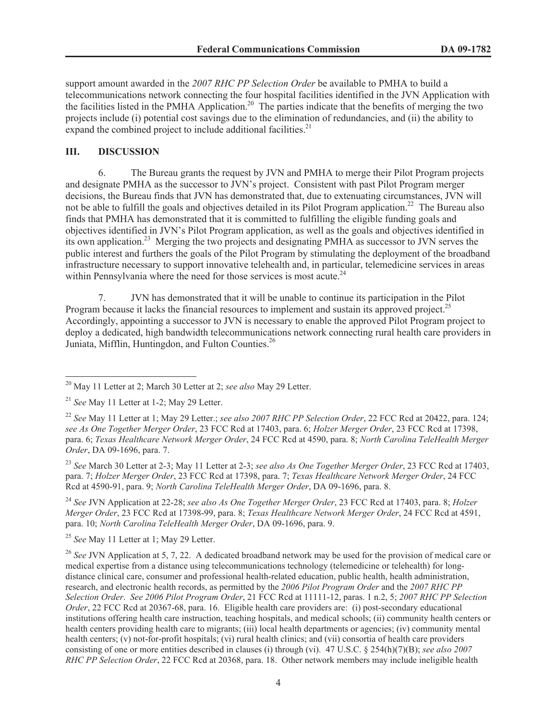support amount awarded in the *2007 RHC PP Selection Order* be available to PMHA to build a telecommunications network connecting the four hospital facilities identified in the JVN Application with the facilities listed in the PMHA Application.<sup>20</sup> The parties indicate that the benefits of merging the two projects include (i) potential cost savings due to the elimination of redundancies, and (ii) the ability to expand the combined project to include additional facilities. $2<sup>1</sup>$ 

## **III. DISCUSSION**

6. The Bureau grants the request by JVN and PMHA to merge their Pilot Program projects and designate PMHA as the successor to JVN's project. Consistent with past Pilot Program merger decisions, the Bureau finds that JVN has demonstrated that, due to extenuating circumstances, JVN will not be able to fulfill the goals and objectives detailed in its Pilot Program application.<sup>22</sup> The Bureau also finds that PMHA has demonstrated that it is committed to fulfilling the eligible funding goals and objectives identified in JVN's Pilot Program application, as well as the goals and objectives identified in its own application.<sup>23</sup> Merging the two projects and designating PMHA as successor to JVN serves the public interest and furthers the goals of the Pilot Program by stimulating the deployment of the broadband infrastructure necessary to support innovative telehealth and, in particular, telemedicine services in areas within Pennsylvania where the need for those services is most acute.<sup>24</sup>

7. JVN has demonstrated that it will be unable to continue its participation in the Pilot Program because it lacks the financial resources to implement and sustain its approved project.<sup>25</sup> Accordingly, appointing a successor to JVN is necessary to enable the approved Pilot Program project to deploy a dedicated, high bandwidth telecommunications network connecting rural health care providers in Juniata, Mifflin, Huntingdon, and Fulton Counties.<sup>26</sup>

<sup>24</sup> *See* JVN Application at 22-28; *see also As One Together Merger Order*, 23 FCC Rcd at 17403, para. 8; *Holzer Merger Order*, 23 FCC Rcd at 17398-99, para. 8; *Texas Healthcare Network Merger Order*, 24 FCC Rcd at 4591, para. 10; *North Carolina TeleHealth Merger Order*, DA 09-1696, para. 9.

<sup>25</sup> *See* May 11 Letter at 1; May 29 Letter.

<sup>26</sup> See JVN Application at 5, 7, 22. A dedicated broadband network may be used for the provision of medical care or medical expertise from a distance using telecommunications technology (telemedicine or telehealth) for longdistance clinical care, consumer and professional health-related education, public health, health administration, research, and electronic health records, as permitted by the *2006 Pilot Program Order* and the *2007 RHC PP Selection Order*. *See 2006 Pilot Program Order*, 21 FCC Rcd at 11111-12, paras. 1 n.2, 5; *2007 RHC PP Selection Order*, 22 FCC Rcd at 20367-68, para. 16. Eligible health care providers are: (i) post-secondary educational institutions offering health care instruction, teaching hospitals, and medical schools; (ii) community health centers or health centers providing health care to migrants; (iii) local health departments or agencies; (iv) community mental health centers; (v) not-for-profit hospitals; (vi) rural health clinics; and (vii) consortia of health care providers consisting of one or more entities described in clauses (i) through (vi). 47 U.S.C. § 254(h)(7)(B); *see also 2007 RHC PP Selection Order*, 22 FCC Rcd at 20368, para. 18. Other network members may include ineligible health

<sup>20</sup> May 11 Letter at 2; March 30 Letter at 2; *see also* May 29 Letter.

<sup>21</sup> *See* May 11 Letter at 1-2; May 29 Letter.

<sup>22</sup> *See* May 11 Letter at 1; May 29 Letter.; *see also 2007 RHC PP Selection Order*, 22 FCC Rcd at 20422, para. 124; *see As One Together Merger Order*, 23 FCC Rcd at 17403, para. 6; *Holzer Merger Order*, 23 FCC Rcd at 17398, para. 6; *Texas Healthcare Network Merger Order*, 24 FCC Rcd at 4590, para. 8; *North Carolina TeleHealth Merger Order*, DA 09-1696, para. 7.

<sup>23</sup> *See* March 30 Letter at 2-3; May 11 Letter at 2-3; *see also As One Together Merger Order*, 23 FCC Rcd at 17403, para. 7; *Holzer Merger Order*, 23 FCC Rcd at 17398, para. 7; *Texas Healthcare Network Merger Order*, 24 FCC Rcd at 4590-91, para. 9; *North Carolina TeleHealth Merger Order*, DA 09-1696, para. 8.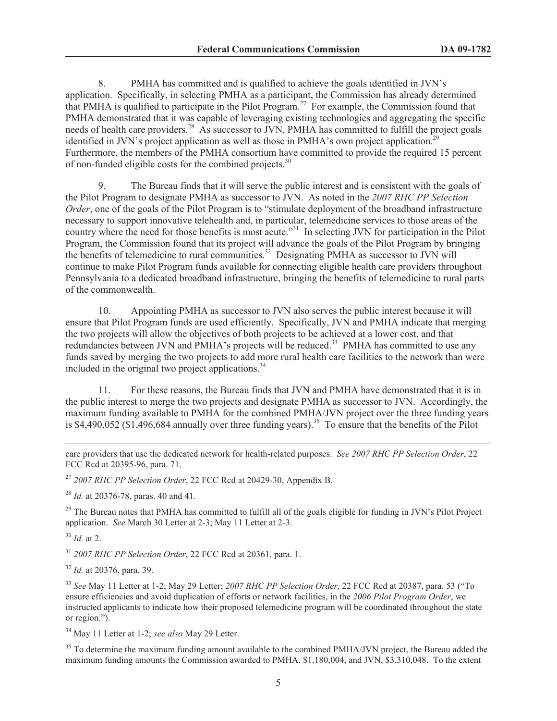8. PMHA has committed and is qualified to achieve the goals identified in JVN's application. Specifically, in selecting PMHA as a participant, the Commission has already determined that PMHA is qualified to participate in the Pilot Program.<sup>27</sup> For example, the Commission found that PMHA demonstrated that it was capable of leveraging existing technologies and aggregating the specific needs of health care providers.<sup>28</sup> As successor to JVN, PMHA has committed to fulfill the project goals identified in JVN's project application as well as those in PMHA's own project application.<sup>2</sup> Furthermore, the members of the PMHA consortium have committed to provide the required 15 percent of non-funded eligible costs for the combined projects.<sup>30</sup>

9. The Bureau finds that it will serve the public interest and is consistent with the goals of the Pilot Program to designate PMHA as successor to JVN. As noted in the *2007 RHC PP Selection Order*, one of the goals of the Pilot Program is to "stimulate deployment of the broadband infrastructure necessary to support innovative telehealth and, in particular, telemedicine services to those areas of the country where the need for those benefits is most acute."<sup>31</sup> In selecting JVN for participation in the Pilot Program, the Commission found that its project will advance the goals of the Pilot Program by bringing the benefits of telemedicine to rural communities.<sup>32</sup> Designating PMHA as successor to JVN will continue to make Pilot Program funds available for connecting eligible health care providers throughout Pennsylvania to a dedicated broadband infrastructure, bringing the benefits of telemedicine to rural parts of the commonwealth.

10. Appointing PMHA as successor to JVN also serves the public interest because it will ensure that Pilot Program funds are used efficiently. Specifically, JVN and PMHA indicate that merging the two projects will allow the objectives of both projects to be achieved at a lower cost, and that redundancies between JVN and PMHA's projects will be reduced.<sup>33</sup> PMHA has committed to use any funds saved by merging the two projects to add more rural health care facilities to the network than were included in the original two project applications.<sup>34</sup>

11. For these reasons, the Bureau finds that JVN and PMHA have demonstrated that it is in the public interest to merge the two projects and designate PMHA as successor to JVN. Accordingly, the maximum funding available to PMHA for the combined PMHA/JVN project over the three funding years is \$4,490,052 (\$1,496,684 annually over three funding years).<sup>35</sup> To ensure that the benefits of the Pilot

care providers that use the dedicated network for health-related purposes. *See 2007 RHC PP Selection Order*, 22 FCC Rcd at 20395-96, para. 71.

<sup>27</sup> *2007 RHC PP Selection Order*, 22 FCC Rcd at 20429-30, Appendix B.

<sup>28</sup> *Id.* at 20376-78, paras. 40 and 41.

 $29$  The Bureau notes that PMHA has committed to fulfill all of the goals eligible for funding in JVN's Pilot Project application. *See* March 30 Letter at 2-3; May 11 Letter at 2-3.

<sup>30</sup> *Id.* at 2.

<sup>31</sup> *2007 RHC PP Selection Order*, 22 FCC Rcd at 20361, para. 1.

<sup>32</sup> *Id.* at 20376, para. 39.

<sup>33</sup> *See* May 11 Letter at 1-2; May 29 Letter; *2007 RHC PP Selection Order*, 22 FCC Rcd at 20387, para. 53 ("To ensure efficiencies and avoid duplication of efforts or network facilities, in the *2006 Pilot Program Order*, we instructed applicants to indicate how their proposed telemedicine program will be coordinated throughout the state or region.").

<sup>34</sup> May 11 Letter at 1-2; *see also* May 29 Letter.

<sup>35</sup> To determine the maximum funding amount available to the combined PMHA/JVN project, the Bureau added the maximum funding amounts the Commission awarded to PMHA, \$1,180,004, and JVN, \$3,310,048. To the extent